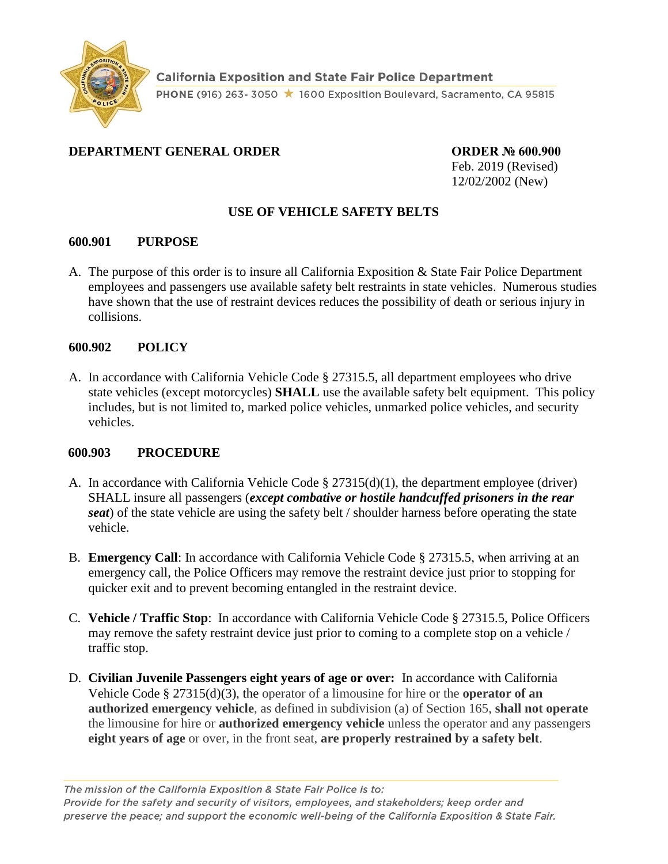

# **DEPARTMENT GENERAL ORDER ORDER № 600.900**

Feb. 2019 (Revised) 12/02/2002 (New)

# **USE OF VEHICLE SAFETY BELTS**

## **600.901 PURPOSE**

A. The purpose of this order is to insure all California Exposition & State Fair Police Department employees and passengers use available safety belt restraints in state vehicles. Numerous studies have shown that the use of restraint devices reduces the possibility of death or serious injury in collisions.

## **600.902 POLICY**

A. In accordance with California Vehicle Code § 27315.5, all department employees who drive state vehicles (except motorcycles) **SHALL** use the available safety belt equipment. This policy includes, but is not limited to, marked police vehicles, unmarked police vehicles, and security vehicles.

### **600.903 PROCEDURE**

- A. In accordance with California Vehicle Code  $\S 27315(d)(1)$ , the department employee (driver) SHALL insure all passengers (*except combative or hostile handcuffed prisoners in the rear seat*) of the state vehicle are using the safety belt / shoulder harness before operating the state vehicle.
- B. **Emergency Call**: In accordance with California Vehicle Code § 27315.5, when arriving at an emergency call, the Police Officers may remove the restraint device just prior to stopping for quicker exit and to prevent becoming entangled in the restraint device.
- C. **Vehicle / Traffic Stop**: In accordance with California Vehicle Code § 27315.5, Police Officers may remove the safety restraint device just prior to coming to a complete stop on a vehicle / traffic stop.
- D. **Civilian Juvenile Passengers eight years of age or over:** In accordance with California Vehicle Code § 27315(d)(3), the operator of a limousine for hire or the **operator of an authorized emergency vehicle**, as defined in subdivision (a) of Section 165, **shall not operate** the limousine for hire or **authorized emergency vehicle** unless the operator and any passengers **eight years of age** or over, in the front seat, **are properly restrained by a safety belt**.